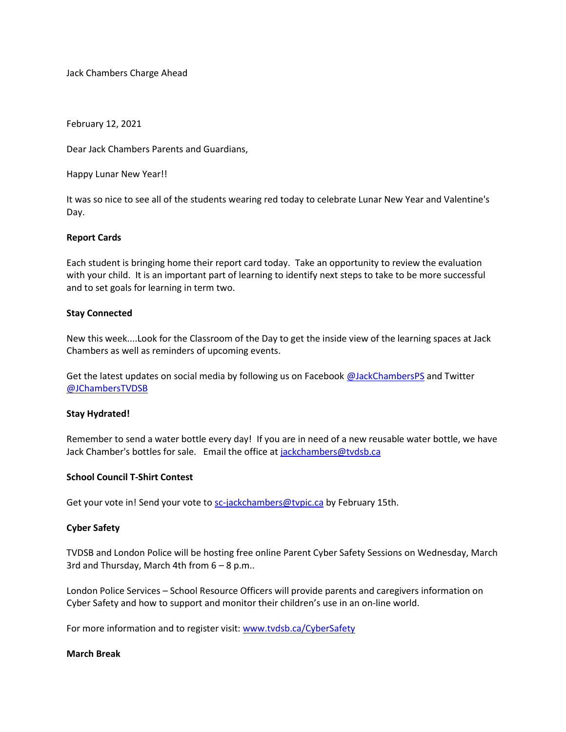Jack Chambers Charge Ahead

February 12, 2021

Dear Jack Chambers Parents and Guardians,

Happy Lunar New Year!!

It was so nice to see all of the students wearing red today to celebrate Lunar New Year and Valentine's Day.

## **Report Cards**

Each student is bringing home their report card today. Take an opportunity to review the evaluation with your child. It is an important part of learning to identify next steps to take to be more successful and to set goals for learning in term two.

# **Stay Connected**

New this week....Look for the Classroom of the Day to get the inside view of the learning spaces at Jack Chambers as well as reminders of upcoming events.

Get the latest updates on social media by following us on Facebook [@JackChambersPS](http://track.spe.schoolmessenger.com/f/a/0AtC2MvxlAuSx8sayqfA6g~~/AAAAAQA~/RgRiCCZBP0QoaHR0cHM6Ly93d3cuZmFjZWJvb2suY29tL0phY2tDaGFtYmVyc1BTL1cHc2Nob29sbUIKYCHB8iZgZWGgaVIeQWxsU3RhZmYtSmFja0NoYW1iZXJzQHR2ZHNiLmNhWAQAAAAC) and Twitter [@JChambersTVDSB](http://track.spe.schoolmessenger.com/f/a/HRZh1wKoB98hgCSEIJoeGA~~/AAAAAQA~/RgRiCCZBP0QiaHR0cHM6Ly90d2l0dGVyLmNvbS9KQ2hhbWJlcnNUVkRTQlcHc2Nob29sbUIKYCHB8iZgZWGgaVIeQWxsU3RhZmYtSmFja0NoYW1iZXJzQHR2ZHNiLmNhWAQAAAAC)

### **Stay Hydrated!**

Remember to send a water bottle every day! If you are in need of a new reusable water bottle, we have Jack Chamber's bottles for sale. Email the office a[t jackchambers@tvdsb.ca](mailto:jackchambers@tvdsb.ca)

### **School Council T-Shirt Contest**

Get your vote in! Send your vote to [sc-jackchambers@tvpic.ca](mailto:sc-jackchambers@tvpic.ca) by February 15th.

### **Cyber Safety**

TVDSB and London Police will be hosting free online Parent Cyber Safety Sessions on Wednesday, March 3rd and Thursday, March 4th from  $6 - 8$  p.m..

London Police Services – School Resource Officers will provide parents and caregivers information on Cyber Safety and how to support and monitor their children's use in an on-line world.

For more information and to register visit[: www.tvdsb.ca/CyberSafety](http://track.spe.schoolmessenger.com/f/a/Uiau4t8NXW067e6X5LGiQQ~~/AAAAAQA~/RgRiCCZBP0QfaHR0cDovL3d3dy50dmRzYi5jYS9DeWJlclNhZmV0eVcHc2Nob29sbUIKYCHB8iZgZWGgaVIeQWxsU3RhZmYtSmFja0NoYW1iZXJzQHR2ZHNiLmNhWAQAAAAC)

### **March Break**